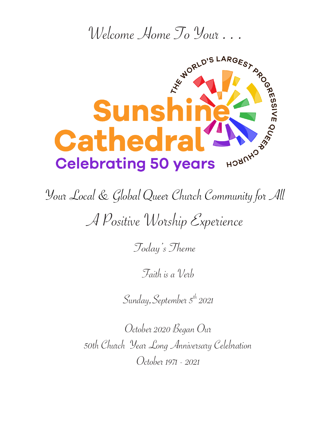

Your Local & Global Queer Church Community for All

A Positive Worship Experience

Today's Theme

Faith is a Verb

Sunday, September 5<sup>th</sup> 2021

October 2020 Began Our 50th Church Year Long Anniversary Celebration October 1971 - 2021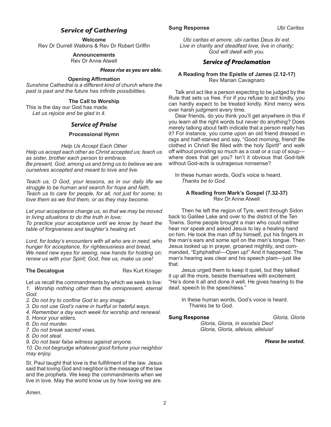# *Service of Gathering*

**Welcome**

Rev Dr Durrell Watkins & Rev Dr Robert Griffin

# **Announcements**

Rev Dr Anne Atwell

#### *Please rise as you are able.*

#### **Opening Affirmation**

*Sunshine Cathedral is a different kind of church where the past is past and the future has infinite possibilities.*

## **The Call to Worship**

This is the day our God has made. *Let us rejoice and be glad in it.*

## *Service of Praise*

### **Processional Hymn**

*Help Us Accept Each Other*

*Help us accept each other as Christ accepted us; teach us as sister, brother each person to embrace.*

*Be present, God, among us and bring us to believe we are ourselves accepted and meant to love and live.*

*Teach us, O God, your lessons, as in our daily life we struggle to be human and search for hope and faith. Teach us to care for people, for all, not just for some; to love them as we find them, or as they may become.*

*Let your acceptance change us, so that we may be moved in living situations to do the truth in love;*

*To practice your acceptance until we know by heart the table of forgiveness and laughter's healing art.*

*Lord, for today's encounters with all who are in need, who hunger for acceptance, for righteousness and bread, We need new eyes for seeing, new hands for holding on; renew us with your Spirit; God, free us, make us one!*

**The Decalogue** Rev Kurt Krieger

Let us recall the commandments by which we seek to live: *1. Worship nothing other than the omnipresent, eternal God.*

*2. Do not try to confine God to any image.*

- *3. Do not use God's name in hurtful or hateful ways.*
- *4. Remember a day each week for worship and renewal.*
- *5. Honor your elders.*
- *6. Do not murder.*
- *7. Do not break sacred vows.*
- *8. Do not steal.*
- *9. Do not bear false witness against anyone.*

*10. Do not begrudge whatever good fortune your neighbor may enjoy.*

St. Paul taught that love is the fulfillment of the law. Jesus said that loving God and neighbor is the message of the law and the prophets. We keep the commandments when we live in love. May the world know us by how loving we are.

#### *Amen.*

## **Sung Response** *Ubi Caritas*

*Ubi caritas et amore, ubi caritas Deus ibi est. Live in charity and steadfast love, live in charity; God will dwell with you.*

# *Service of Proclamation*

### **A Reading from the Epistle of James (2.12-17)** Rev Marian Cavagnaro

Talk and act like a person expecting to be judged by the Rule that sets us free. For if you refuse to act kindly, you can hardly expect to be treated kindly. Kind mercy wins over harsh judgment every time.

Dear friends, do you think you'll get anywhere in this if you learn all the right words but never do anything? Does merely talking about faith indicate that a person really has it? For instance, you come upon an old friend dressed in rags and half-starved and say, "Good morning, friend! Be clothed in Christ! Be filled with the holy Spirit!" and walk off without providing so much as a coat or a cup of soup where does that get you? Isn't it obvious that God-talk without God-acts is outrageous nonsense?

In these human words, God's voice is heard. *Thanks be to God.* 

#### **A Reading from Mark's Gospel (7.32-37)** Rev Dr Anne Atwell

Then he left the region of Tyre, went through Sidon back to Galilee Lake and over to the district of the Ten Towns. Some people brought a man who could neither hear nor speak and asked Jesus to lay a healing hand on him. He took the man off by himself, put his fingers in the man's ears and some spit on the man's tongue. Then Jesus looked up in prayer, groaned mightily, and commanded, "Ephphatha!—Open up!" And it happened. The man's hearing was clear and his speech plain—just like that.

Jesus urged them to keep it quiet, but they talked it up all the more, beside themselves with excitement. "He's done it all and done it well. He gives hearing to the deaf, speech to the speechless."

> In these human words, God's voice is heard. Thanks be to God.

#### **Sung Response** *Gloria, Gloria*

*Gloria, Gloria, in excelsis Deo! Gloria, Gloria, alleluia, alleluia!*

*Please be seated.*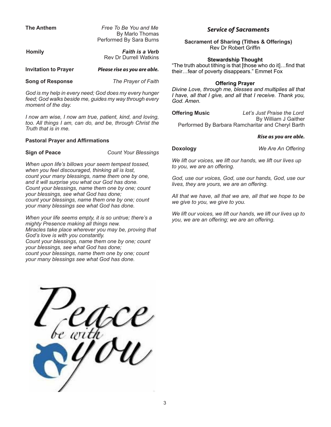| <b>The Anthem</b>           | Free To Be You and Me<br>By Marlo Thomas<br>Performed By Sara Burns |
|-----------------------------|---------------------------------------------------------------------|
| <b>Homily</b>               | <b>Faith is a Verb</b><br><b>Rev Dr Durrell Watkins</b>             |
| <b>Invitation to Prayer</b> | Please rise as you are able.                                        |
| <b>Song of Response</b>     | The Prayer of Faith                                                 |

*God is my help in every need; God does my every hunger feed; God walks beside me, guides my way through every moment of the day.*

*I now am wise, I now am true, patient, kind, and loving, too. All things I am, can do, and be, through Christ the Truth that is in me.*

#### **Pastoral Prayer and Affirmations**

**Sign of Peace** *Count Your Blessings*

*When upon life's billows your seem tempest tossed, when you feel discouraged, thinking all is lost, count your many blessings, name them one by one, and it will surprise you what our God has done. Count your blessings, name them one by one; count your blessings, see what God has done; count your blessings, name them one by one; count your many blessings see what God has done.*

*When your life seems empty, it is so untrue; there's a mighty Presence making all things new. Miracles take place wherever you may be, proving that God's love is with you constantly. Count your blessings, name them one by one; count your blessings, see what God has done; count your blessings, name them one by one; count your many blessings see what God has done.*

## *Service of Sacraments*

**Sacrament of Sharing (Tithes & Offerings)** Rev Dr Robert Griffin

#### **Stewardship Thought**

"The truth about tithing is that [those who do it]…find that their…fear of poverty disappears." Emmet Fox

#### **Offering Prayer**

*Divine Love, through me, blesses and multiplies all that I have, all that I give, and all that I receive. Thank you, God. Amen.*

**Offering Music** *Let's Just Praise the Lord* By William J Gaither Performed By Barbara Ramcharitar and Cheryl Barth

#### *Rise as you are able.*

**Doxology** *We Are An Offering*

*We lift our voices, we lift our hands, we lift our lives up to you, we are an offering.*

*God, use our voices, God, use our hands, God, use our lives, they are yours, we are an offering.*

*All that we have, all that we are, all that we hope to be we give to you, we give to you.*

*We lift our voices, we lift our hands, we lift our lives up to you, we are an offering; we are an offering.*

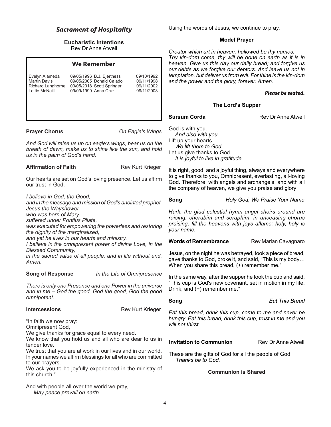# *Sacrament of Hospitality*

#### **Eucharistic Intentions** Rev Dr Anne Atwell

#### **We Remember**

Evelyn Alameda Martin Davis Richard Langhorne 09/05/2018 Lettie McNeill

09/05/1996 B.J. Bjertness 09/10/1992<br>09/05/2005 Donald Caiado 09/11/1998 09/05/2005 Donald Caiado 09/11/1998<br>09/05/2018 Scott Springer 09/11/2002 09/05/2018 Scott Springer

**Prayer Chorus** *On Eagle's Wings* 

09/11/2008

*And God will raise us up on eagle's wings, bear us on the breath of dawn, make us to shine like the sun, and hold us in the palm of God's hand.*

#### **Affirmation of Faith**  Rev Kurt Krieger

Our hearts are set on God's loving presence. Let us affirm our trust in God.

*I believe in God, the Good,*

*and in the message and mission of God's anointed prophet, Jesus the Wayshower*

*who was born of Mary,* 

*suffered under Pontius Pilate,*

*was executed for empowering the powerless and restoring the dignity of the marginalized,*

*and yet he lives in our hearts and ministry.*

*I believe in the omnipresent power of divine Love, in the Blessed Community,*

*in the sacred value of all people, and in life without end. Amen.*

#### **Song of Response** *In the Life of Omnipresence*

*There is only one Presence and one Power in the universe and in me – God the good, God the good, God the good omnipotent.*

**Intercessions** Rev Kurt Krieger

"In faith we now pray:

Omnipresent God,

We give thanks for grace equal to every need.

We know that you hold us and all who are dear to us in tender love.

We trust that you are at work in our lives and in our world. In your names we affirm blessings for all who are committed to our prayers.

We ask you to be joyfully experienced in the ministry of this church."

And with people all over the world we pray, *May peace prevail on earth.*

Using the words of Jesus, we continue to pray,

#### **Model Prayer**

*Creator which art in heaven, hallowed be thy names. Thy kin-dom come, thy will be done on earth as it is in heaven. Give us this day our daily bread; and forgive us our debts as we forgive our debtors. And leave us not in temptation, but deliver us from evil. For thine is the kin-dom and the power and the glory, forever. Amen.*

#### *Please be seated.*

#### **The Lord's Supper**

**Sursum Corda** Rev Dr Anne Atwell

God is with you. *And also with you.* Lift up your hearts. *We lift them to God.* Let us give thanks to God. *It is joyful to live in gratitude.*

It is right, good, and a joyful thing, always and everywhere to give thanks to you, Omnipresent, everlasting, all-loving God. Therefore, with angels and archangels, and with all the company of heaven, we give you praise and glory:

**Song** *Holy God, We Praise Your Name*

*Hark, the glad celestial hymn angel choirs around are raising; cherubim and seraphim, in unceasing chorus praising, fill the heavens with joys aflame: holy, holy is your name.*

### **Words of Remembrance** Rev Marian Cavagnaro

Jesus, on the night he was betrayed, took a piece of bread, gave thanks to God, broke it, and said, "This is my body… When you share this bread, (+) remember me."

In the same way, after the supper he took the cup and said, "This cup is God's new covenant, set in motion in my life. Drink, and (+) remember me."

**Song** *Eat This Bread*

*Eat this bread, drink this cup, come to me and never be hungry. Eat this bread, drink this cup, trust in me and you will not thirst.*

#### **Invitation to Communion Rev Dr Anne Atwell**

These are the gifts of God for all the people of God. *Thanks be to God.*

**Communion is Shared**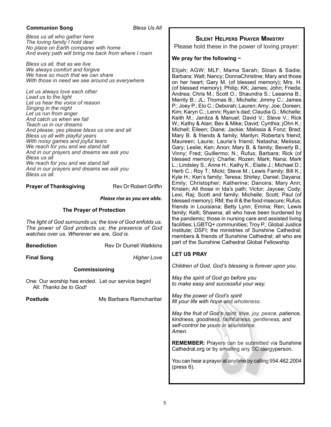#### **Communion Song** *Bless Us All*

*Bless us all who gather here The loving family I hold dear No place on Earth compares with home And every path will bring me back from where I roam*

*Bless us all, that as we live We always comfort and forgive We have so much that we can share With those in need we see around us everywhere*

*Let us always love each other Lead us to the light Let us hear the voice of reason Singing in the night Let us run from anger And catch us when we fall Teach us in our dreams And please, yes please bless us one and all Bless us all with playful years With noisy games and joyful tears We reach for you and we stand tall And in our prayers and dreams we ask you Bless us all We reach for you and we stand tall And in our prayers and dreams we ask you Bless us all.*

**Prayer of Thanksgiving Rev Dr Robert Griffin** 

#### *Please rise as you are able.*

#### **The Prayer of Protection**

*The light of God surrounds us; the love of God enfolds us. The power of God protects us; the presence of God watches over us. Wherever we are, God is.*

| <b>Benediction</b>                                                           | <b>Rev Dr Durrell Watkkins</b> | part of the Sunshine Cathedral Global Fellowship                                                                                                                |
|------------------------------------------------------------------------------|--------------------------------|-----------------------------------------------------------------------------------------------------------------------------------------------------------------|
| <b>Final Song</b>                                                            | <b>Higher Love</b>             | <b>LET US PRAY</b>                                                                                                                                              |
| Commissioning                                                                |                                | Children of God, God's blessing is forever upon you.                                                                                                            |
| One: Our worship has ended. Let our service begin!<br>All: Thanks be to God! |                                | May the spirit of God go before you<br>to make easy and successful your way.                                                                                    |
| Postlude                                                                     | Ms Barbara Ramcharitar         | May the power of God's spirit<br>fill your life with hope and wholeness.                                                                                        |
|                                                                              |                                | May the fruit of God's spirit: love, joy, peace, patience,<br>kindness, goodness, faithfulness, gentleness, and<br>self-control be yours in abundance.<br>Amen. |
|                                                                              |                                | <b>REMEMBER:</b> Prayers can be submitted via Sunshine<br>Cathedral.org or by emailing any SC clergyperson.                                                     |

You can hear a prayer at anytime by calling 954.462.2004 (press 6).

# **Silent Helpers Prayer Ministry**

Please hold these in the power of loving prayer:

### **We pray for the following ~**

Elijah; AGW; MLF; Mama Sarah; Sloan & Sadie; Barbara; Walt; Nancy; DonnaChristine; Mary and those on her heart; Gary M. (of blessed memory); Mrs. H. (of blessed memory); Philip; KK; James; John; Frieda; Andrea; Chris M.; Scott O.; Shaundra S.; Leeanna B.; Merrily B.; JL; Thomas B.; Michelle; Jimmy C.; James P.; Joey P.; Elo C.; Deborah; Lauren; Amy; Joe; Doreen; Kim; Karyn C.; Lenni; Ryan's dad; Claudia G.; Michelle; Keith M.; Janitza & Manuel; David V.; Steve V.; Rick W.; Kathy & Alan; Bev & Mike; David; Cynthia; jOhn K.; Michell; Eileen; Diane; Jackie; Malissia & Fonz; Brad; Mary B. & friends & family; Marilyn; Roberta's friend; Maureen; Laurie; Laurie's friend; Natasha; Melissa; Gary; Leslie; Ken; Anon; Mary B. & family; Beverly B.; Vinny; Fred; Guillermo; N.; Rufus; Barbara; Rick (of blessed memory); Charlie; Rozen; Mark; Nana; Mark L.; Lindsley S.; Anne H.; Kathy K.; Elaite J.; Michael D.; Herb C.; Roy T.; Micki; Steve M.; Lewis Family; Bill K.; Kyle H.; Ken's family; Teresa; Shirley; Daniel; Dayana; Emily; Christopher; Katherine; Danoira; Mary Ann; Kristen; All those in Ida's path; Victor; Jaycee; Cody; Lexi; Raj; Scott and family; Michelle; Scott; Paul (of blessed memory); RM; the ill & the food insecure; Rufus; friends in Louisiana; Betty Lynn; Emma; Ren; Lewis family; Kelli; Shawna; all who have been burdened by the pandemic; those in nursing care and assisted living facilities; LGBTQ+ communities; Troy P.; Global Justice Institute; DSFI; the ministries of Sunshine Cathedral; members & friends of Sunshine Cathedral; all who are rt of the Sunshine Cathedral Global Fellowship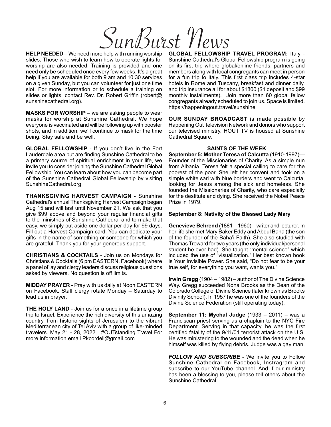SunBurst News

**HELP NEEDED** – We need more help with running worship slides. Those who wish to learn how to operate lights for worship are also needed. Training is provided and one need only be scheduled once every few weeks. It's a great help if you are available for both 9 am and 10:30 services on a given Sunday, but you can volunteer for just one time slot. For more information or to schedule a training on slides or lights, contact Rev. Dr. Robert Griffin (robert@ sunshinecathedral.org).

**MASKS FOR WORSHIP** – we are asking people to wear masks for worship at Sunshine Cathedral. We hope everyone is vaccinated and will be following up with booster shots, and in addition, we'll continue to mask for the time being. Stay safe and be well.

**GLOBAL FELLOWSHIP** - If you don't live in the Fort Lauderdale area but are finding Sunshine Cathedral to be a primary source of spiritual enrichment in your life, we invite you to consider joining the Sunshine Cathedral Global Fellowship. You can learn about how you can become part of the Sunshine Cathedral Global Fellowship by visiting SunshineCathedral.org

**THANKSGIVING HARVEST CAMPAIGN** - Sunshine Cathedral's annual Thanksgiving Harvest Campaign began Aug 15 and will last until November 21. We ask that you give \$99 above and beyond your regular financial gifts to the ministries of Sunshine Cathedral and to make that easy, we simply put aside one dollar per day for 99 days. Fill out a Harvest Campaign card. You can dedicate your gifts in the name of something or someone for which you are grateful. Thank you for your generous support.

**CHRISTIANS & COCKTAILS** - Join us on Mondays for Christians & Cocktails (6 pm EASTERN, Facebook) where a panel of lay and clergy leaders discuss religious questions asked by viewers. No question is off limits.

**MIDDAY PRAYER** - Pray with us daily at Noon EASTERN on Facebook. Staff clergy rotate Monday – Saturday to lead us in prayer.

**THE HOLY LAND** - Join us for a once in a lifetime group trip to Israel. Experience the rich diversity of this amazing country, from historic sights of Jerusalem to the vibrant Mediterranean city of Tel Aviv with a group of like-minded travelers. May 21 - 28, 2022 #OUTstanding Travel For more information email Pkcordell@gmail.com

**GLOBAL FELLOWSHIP TRAVEL PROGRAM:** Italy - Sunshine Cathedral's Global Fellowship program is going on its first trip where global/online friends, partners and members along with local congregants can meet in person for a fun trip to Italy. This first class trip includes 4-star hotels in Rome and Tuscany, breakfast and dinner daily, and trip insurance all for about \$1800 (\$1 deposit and \$99 monthly installments). Join more than 60 global fellow congregants already scheduled to join us. Space is limited. https://happeningout.travel/sunshine

**OUR SUNDAY BROADCAST** is made possible by Happening Out Television Network and donors who support our televised ministry. HOUT TV is housed at Sunshine Cathedral Square.

#### **SAINTS OF THE WEEK**

**September 5: Mother Teresa of Calcutta** (1910-1997)— Founder of the Missionaries of Charity. As a simple nun from Albania, Teresa felt a special calling to care for the poorest of the poor. She left her convent and took on a simple white sari with blue borders and went to Calcutta, looking for Jesus among the sick and homeless. She founded the Missionaries of Charity, who care especially for the destitute and dying. She received the Nobel Peace Prize in 1979.

#### **September 8: Nativity of the Blessed Lady Mary**

**Genevieve Behrend** (1881 – 1960) – writer and lecturer. In her life she met Mary Baker Eddy and Abdul Baha (the son of the founder of the Baha'i Faith). She also studied with Thomas Troward for two years (the only individual/personal student he ever had). She taught "mental science" which included the use of "visualization." Her best known book is Your Invisible Power. She said, "Do not fear to be your true self, for everything you want, wants you."

**Irwin Gregg** (1904 – 1982) – author of The Divine Science Way. Gregg succeeded Nona Brooks as the Dean of the Colorado College of Divine Science (later known as Brooks Divinity School). In 1957 he was one of the founders of the Divine Science Federation (still operating today).

**September 11: Mychal Judge** (1933 – 2011) – was a Franciscan priest serving as a chaplain to the NYC Fire Department. Serving in that capacity, he was the first certified fatality of the 9/11/01 terrorist attack on the U.S. He was ministering to the wounded and the dead when he himself was killed by flying debris. Judge was a gay man.

*FOLLOW AND SUBSCRIBE* - We invite you to Follow Sunshine Cathedral on Facebook, Instragram and subscribe to our YouTube channel. And if our ministry has been a blessing to you, please tell others about the Sunshine Cathedral.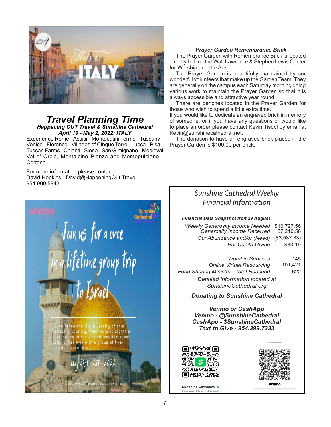

# *Travel Planning Time Happening OUT Travel & Sunshine Cathedral April 19 - May 2, 2022: ITALY*

Experience Rome - Assisi - Montecatini Terme - Tuscany - Venice - Florence - Villages of Cinque Terre - Lucca - Pisa - Tuscan Farms - Chianti - Siena - San Gimignano - Medieval Val d' Orcia, Montalcino Pienza and Montepulciano - Cortona

For more information please contact: David Hopkins - David@HappeningOut.Travel 954.900.5942



#### *Prayer Garden Remembrance Brick*

The Prayer Garden with Remembrance Brick is located directly behind the Walt Lawrence & Stephen Lewis Center for Worship and the Arts.

The Prayer Garden is beautifully maintained by our wonderful volunteers that make up the Garden Team. They are generally on the campus each Saturday morning doing various work to maintain the Prayer Garden so that it is always accessible and attractive year round.

There are benches located in the Prayer Garden for those who wish to spend a little extra time.

If you would like to dedicate an engraved brick in memory of someone, or if you have any questions or would like to place an order please contact Kevin Tisdol by email at Kevin@sunshinecathedral.net.

The donation to have an engraved brick placed in the Prayer Garden is \$100.00 per brick.

# *Sunshine Cathedral Weekly Financial Information*

#### *Financial Data Snapshot from29 August*

| <b>Weekly Generosity Income Needed</b><br>Generosity Income Received | \$10,797.56<br>\$7,210.56 |
|----------------------------------------------------------------------|---------------------------|
| Our Abundance and/or (Need)                                          | (\$3,587.33)              |
| Per Capita Giving                                                    | \$33.19                   |
|                                                                      |                           |
| <b>Worship Services</b>                                              | 145                       |
| <b>Online Virtual Resourcing</b>                                     | 101,421                   |
| Food Sharing Ministry - Total Reached                                | 622                       |
| Detailed information located at<br>SunshineCathedral.org             |                           |

#### *Donating to Sunshine Cathedral*

*Venmo or CashApp Venmo - @SunshineCathedral CashApp - \$SunshineCathedral Text to Give - 954.399.7333*



Sunshine Cathedral **B** Scan to pay \$SunshineCathedral



venma